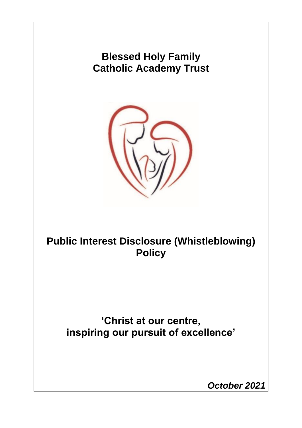# **Blessed Holy Family Catholic Academy Trust**



**Public Interest Disclosure (Whistleblowing) Policy**

**'Christ at our centre, inspiring our pursuit of excellence'**

*October 2021*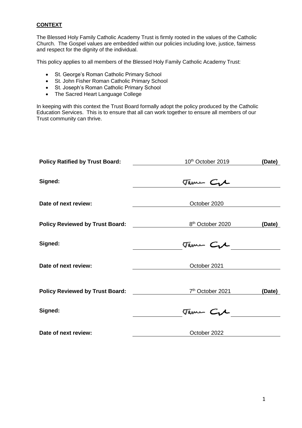## **CONTEXT**

The Blessed Holy Family Catholic Academy Trust is firmly rooted in the values of the Catholic Church. The Gospel values are embedded within our policies including love, justice, fairness and respect for the dignity of the individual.

This policy applies to all members of the Blessed Holy Family Catholic Academy Trust:

- St. George's Roman Catholic Primary School
- St. John Fisher Roman Catholic Primary School
- St. Joseph's Roman Catholic Primary School
- The Sacred Heart Language College

In keeping with this context the Trust Board formally adopt the policy produced by the Catholic Education Services. This is to ensure that all can work together to ensure all members of our Trust community can thrive.

| <b>Policy Ratified by Trust Board:</b> | 10 <sup>th</sup> October 2019 | (Date) |
|----------------------------------------|-------------------------------|--------|
| Signed:                                | Tame Cre                      |        |
|                                        |                               |        |
| Date of next review:                   | October 2020                  |        |
| <b>Policy Reviewed by Trust Board:</b> | 8 <sup>th</sup> October 2020  | (Date) |
| Signed:                                | Tame Cre                      |        |
| Date of next review:                   | October 2021                  |        |
| <b>Policy Reviewed by Trust Board:</b> | 7 <sup>th</sup> October 2021  | (Date) |
| Signed:                                | Tame Cre                      |        |
| Date of next review:                   | October 2022                  |        |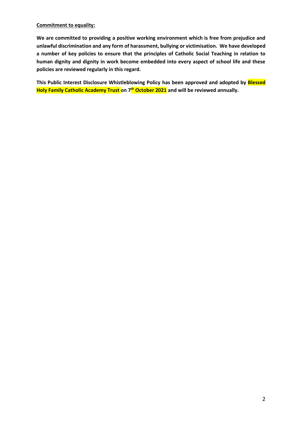#### **Commitment to equality:**

**We are committed to providing a positive working environment which is free from prejudice and unlawful discrimination and any form of harassment, bullying or victimisation. We have developed a number of key policies to ensure that the principles of Catholic Social Teaching in relation to human dignity and dignity in work become embedded into every aspect of school life and these policies are reviewed regularly in this regard.**

**This Public Interest Disclosure Whistleblowing Policy has been approved and adopted by Blessed Holy Family Catholic Academy Trust on 7 th October 2021 and will be reviewed annually.**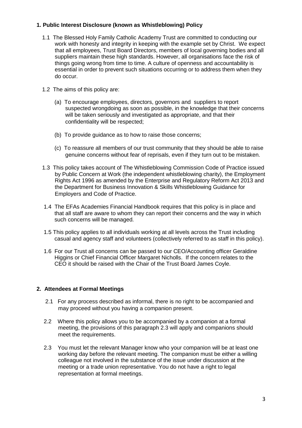# **1. Public Interest Disclosure (known as Whistleblowing) Policy**

- 1.1 The Blessed Holy Family Catholic Academy Trust are committed to conducting our work with honesty and integrity in keeping with the example set by Christ. We expect that all employees, Trust Board Directors, members of local governing bodies and all suppliers maintain these high standards. However, all organisations face the risk of things going wrong from time to time. A culture of openness and accountability is essential in order to prevent such situations occurring or to address them when they do occur.
- 1.2 The aims of this policy are:
	- (a) To encourage employees, directors, governors and suppliers to report suspected wrongdoing as soon as possible, in the knowledge that their concerns will be taken seriously and investigated as appropriate, and that their confidentiality will be respected;
	- (b) To provide guidance as to how to raise those concerns;
	- (c) To reassure all members of our trust community that they should be able to raise genuine concerns without fear of reprisals, even if they turn out to be mistaken.
- 1.3 This policy takes account of The Whistleblowing Commission Code of Practice issued by Public Concern at Work (the independent whistleblowing charity), the Employment Rights Act 1996 as amended by the Enterprise and Regulatory Reform Act 2013 and the Department for Business Innovation & Skills Whistleblowing Guidance for Employers and Code of Practice.
- 1.4 The EFAs Academies Financial Handbook requires that this policy is in place and that all staff are aware to whom they can report their concerns and the way in which such concerns will be managed.
- 1.5 This policy applies to all individuals working at all levels across the Trust including casual and agency staff and volunteers (collectively referred to as staff in this policy).
- 1.6 For our Trust all concerns can be passed to our CEO/Accounting officer Geraldine Higgins or Chief Financial Officer Margaret Nicholls. If the concern relates to the CEO it should be raised with the Chair of the Trust Board James Coyle.

# **2. Attendees at Formal Meetings**

- 2.1 For any process described as informal, there is no right to be accompanied and may proceed without you having a companion present.
- 2.2 Where this policy allows you to be accompanied by a companion at a formal meeting, the provisions of this paragraph 2.3 will apply and companions should meet the requirements.
- 2.3 You must let the relevant Manager know who your companion will be at least one working day before the relevant meeting. The companion must be either a willing colleague not involved in the substance of the issue under discussion at the meeting or a trade union representative. You do not have a right to legal representation at formal meetings.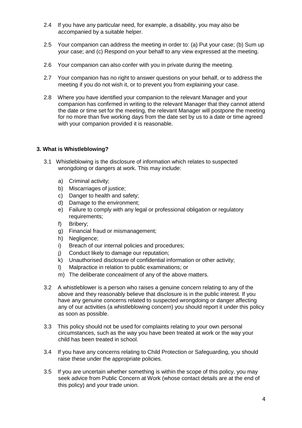- 2.4 If you have any particular need, for example, a disability, you may also be accompanied by a suitable helper.
- 2.5 Your companion can address the meeting in order to: (a) Put your case; (b) Sum up your case; and (c) Respond on your behalf to any view expressed at the meeting.
- 2.6 Your companion can also confer with you in private during the meeting.
- 2.7 Your companion has no right to answer questions on your behalf, or to address the meeting if you do not wish it, or to prevent you from explaining your case.
- 2.8 Where you have identified your companion to the relevant Manager and your companion has confirmed in writing to the relevant Manager that they cannot attend the date or time set for the meeting, the relevant Manager will postpone the meeting for no more than five working days from the date set by us to a date or time agreed with your companion provided it is reasonable.

#### **3. What is Whistleblowing?**

- 3.1 Whistleblowing is the disclosure of information which relates to suspected wrongdoing or dangers at work. This may include:
	- a) Criminal activity;
	- b) Miscarriages of justice;
	- c) Danger to health and safety;
	- d) Damage to the environment;
	- e) Failure to comply with any legal or professional obligation or regulatory requirements;
	- f) Bribery;
	- g) Financial fraud or mismanagement;
	- h) Negligence;
	- i) Breach of our internal policies and procedures;
	- j) Conduct likely to damage our reputation;
	- k) Unauthorised disclosure of confidential information or other activity;
	- l) Malpractice in relation to public examinations; or
	- m) The deliberate concealment of any of the above matters.
- 3.2 A whistleblower is a person who raises a genuine concern relating to any of the above and they reasonably believe that disclosure is in the public interest. If you have any genuine concerns related to suspected wrongdoing or danger affecting any of our activities (a whistleblowing concern) you should report it under this policy as soon as possible.
- 3.3 This policy should not be used for complaints relating to your own personal circumstances, such as the way you have been treated at work or the way your child has been treated in school.
- 3.4 If you have any concerns relating to Child Protection or Safeguarding, you should raise these under the appropriate policies.
- 3.5 If you are uncertain whether something is within the scope of this policy, you may seek advice from Public Concern at Work (whose contact details are at the end of this policy) and your trade union.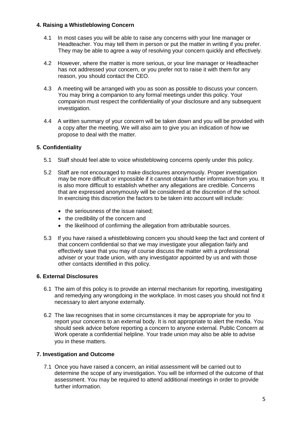## **4. Raising a Whistleblowing Concern**

- 4.1 In most cases you will be able to raise any concerns with your line manager or Headteacher. You may tell them in person or put the matter in writing if you prefer. They may be able to agree a way of resolving your concern quickly and effectively.
- 4.2 However, where the matter is more serious, or your line manager or Headteacher has not addressed your concern, or you prefer not to raise it with them for any reason, you should contact the CEO.
- 4.3 A meeting will be arranged with you as soon as possible to discuss your concern. You may bring a companion to any formal meetings under this policy. Your companion must respect the confidentiality of your disclosure and any subsequent investigation.
- 4.4 A written summary of your concern will be taken down and you will be provided with a copy after the meeting. We will also aim to give you an indication of how we propose to deal with the matter.

# **5. Confidentiality**

- 5.1 Staff should feel able to voice whistleblowing concerns openly under this policy.
- 5.2 Staff are not encouraged to make disclosures anonymously. Proper investigation may be more difficult or impossible if it cannot obtain further information from you. It is also more difficult to establish whether any allegations are credible. Concerns that are expressed anonymously will be considered at the discretion of the school. In exercising this discretion the factors to be taken into account will include:
	- the seriousness of the issue raised:
	- the credibility of the concern and
	- the likelihood of confirming the allegation from attributable sources.
- 5.3 If you have raised a whistleblowing concern you should keep the fact and content of that concern confidential so that we may investigate your allegation fairly and effectively save that you may of course discuss the matter with a professional adviser or your trade union, with any investigator appointed by us and with those other contacts identified in this policy.

## **6. External Disclosures**

- 6.1 The aim of this policy is to provide an internal mechanism for reporting, investigating and remedying any wrongdoing in the workplace. In most cases you should not find it necessary to alert anyone externally.
- 6.2 The law recognises that in some circumstances it may be appropriate for you to report your concerns to an external body. It is not appropriate to alert the media. You should seek advice before reporting a concern to anyone external. Public Concern at Work operate a confidential helpline. Your trade union may also be able to advise you in these matters.

## **7. Investigation and Outcome**

7.1 Once you have raised a concern, an initial assessment will be carried out to determine the scope of any investigation. You will be informed of the outcome of that assessment. You may be required to attend additional meetings in order to provide further information.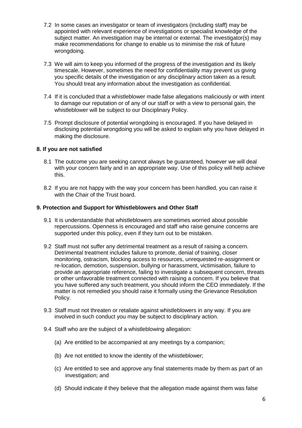- 7.2 In some cases an investigator or team of investigators (including staff) may be appointed with relevant experience of investigations or specialist knowledge of the subject matter. An investigation may be internal or external. The investigator(s) may make recommendations for change to enable us to minimise the risk of future wrongdoing.
- 7.3 We will aim to keep you informed of the progress of the investigation and its likely timescale. However, sometimes the need for confidentiality may prevent us giving you specific details of the investigation or any disciplinary action taken as a result. You should treat any information about the investigation as confidential.
- 7.4 If it is concluded that a whistleblower made false allegations maliciously or with intent to damage our reputation or of any of our staff or with a view to personal gain, the whistleblower will be subject to our Disciplinary Policy.
- 7.5 Prompt disclosure of potential wrongdoing is encouraged. If you have delayed in disclosing potential wrongdoing you will be asked to explain why you have delayed in making the disclosure.

# **8. If you are not satisfied**

- 8.1 The outcome you are seeking cannot always be guaranteed, however we will deal with your concern fairly and in an appropriate way. Use of this policy will help achieve this.
- 8.2 If you are not happy with the way your concern has been handled, you can raise it with the Chair of the Trust board.

#### **9. Protection and Support for Whistleblowers and Other Staff**

- 9.1 It is understandable that whistleblowers are sometimes worried about possible repercussions. Openness is encouraged and staff who raise genuine concerns are supported under this policy, even if they turn out to be mistaken.
- 9.2 Staff must not suffer any detrimental treatment as a result of raising a concern. Detrimental treatment includes failure to promote, denial of training, closer monitoring, ostracism, blocking access to resources, unrequested re-assignment or re-location, demotion, suspension, bullying or harassment, victimisation, failure to provide an appropriate reference, failing to investigate a subsequent concern, threats or other unfavorable treatment connected with raising a concern. If you believe that you have suffered any such treatment, you should inform the CEO immediately. If the matter is not remedied you should raise it formally using the Grievance Resolution Policy.
- 9.3 Staff must not threaten or retaliate against whistleblowers in any way. If you are involved in such conduct you may be subject to disciplinary action.
- 9.4 Staff who are the subject of a whistleblowing allegation:
	- (a) Are entitled to be accompanied at any meetings by a companion;
	- (b) Are not entitled to know the identity of the whistleblower;
	- (c) Are entitled to see and approve any final statements made by them as part of an investigation; and
	- (d) Should indicate if they believe that the allegation made against them was false